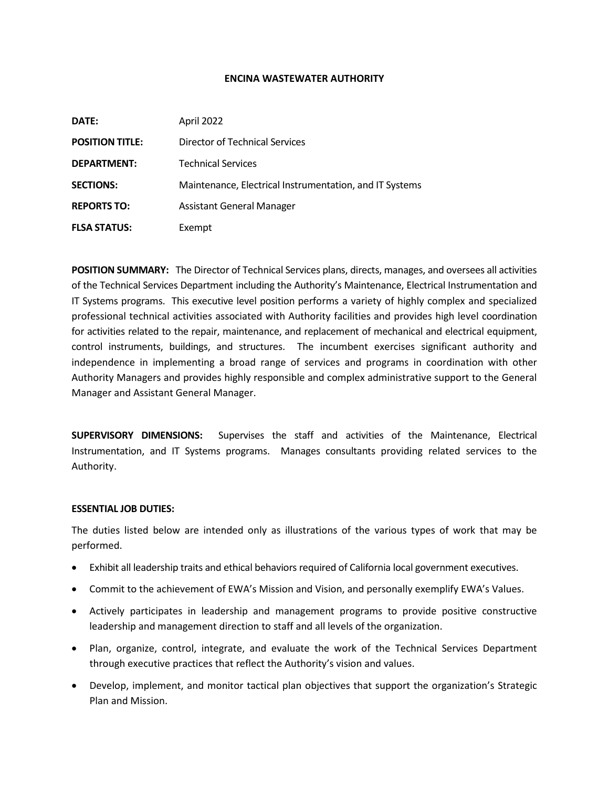#### **ENCINA WASTEWATER AUTHORITY**

| DATE:                  | April 2022                                              |
|------------------------|---------------------------------------------------------|
| <b>POSITION TITLE:</b> | Director of Technical Services                          |
| <b>DEPARTMENT:</b>     | <b>Technical Services</b>                               |
| <b>SECTIONS:</b>       | Maintenance, Electrical Instrumentation, and IT Systems |
| <b>REPORTS TO:</b>     | <b>Assistant General Manager</b>                        |
| <b>FLSA STATUS:</b>    | Exempt                                                  |

**POSITION SUMMARY:** The Director of Technical Services plans, directs, manages, and oversees all activities of the Technical Services Department including the Authority's Maintenance, Electrical Instrumentation and IT Systems programs. This executive level position performs a variety of highly complex and specialized professional technical activities associated with Authority facilities and provides high level coordination for activities related to the repair, maintenance, and replacement of mechanical and electrical equipment, control instruments, buildings, and structures. The incumbent exercises significant authority and independence in implementing a broad range of services and programs in coordination with other Authority Managers and provides highly responsible and complex administrative support to the General Manager and Assistant General Manager.

**SUPERVISORY DIMENSIONS:** Supervises the staff and activities of the Maintenance, Electrical Instrumentation, and IT Systems programs. Manages consultants providing related services to the Authority.

# **ESSENTIAL JOB DUTIES:**

The duties listed below are intended only as illustrations of the various types of work that may be performed.

- Exhibit all leadership traits and ethical behaviors required of California local government executives.
- Commit to the achievement of EWA's Mission and Vision, and personally exemplify EWA's Values.
- Actively participates in leadership and management programs to provide positive constructive leadership and management direction to staff and all levels of the organization.
- Plan, organize, control, integrate, and evaluate the work of the Technical Services Department through executive practices that reflect the Authority's vision and values.
- Develop, implement, and monitor tactical plan objectives that support the organization's Strategic Plan and Mission.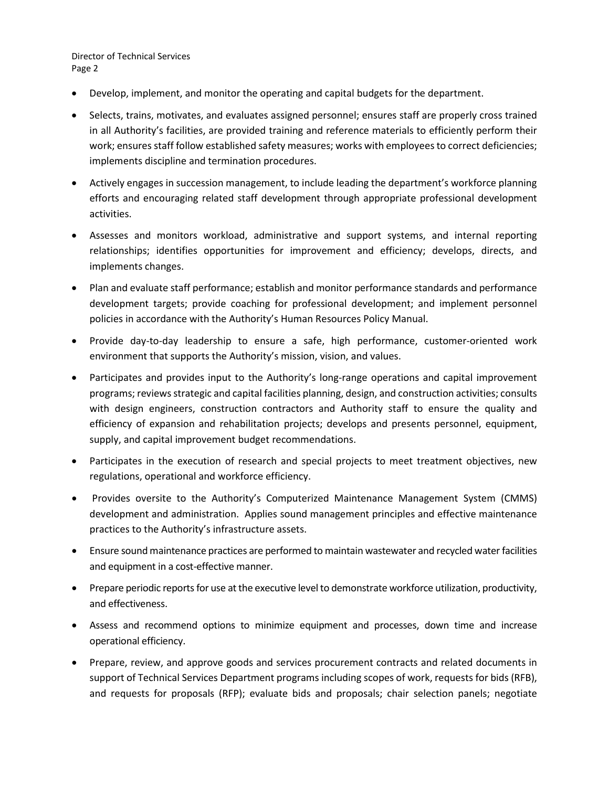- Develop, implement, and monitor the operating and capital budgets for the department.
- Selects, trains, motivates, and evaluates assigned personnel; ensures staff are properly cross trained in all Authority's facilities, are provided training and reference materials to efficiently perform their work; ensures staff follow established safety measures; works with employees to correct deficiencies; implements discipline and termination procedures.
- Actively engages in succession management, to include leading the department's workforce planning efforts and encouraging related staff development through appropriate professional development activities.
- Assesses and monitors workload, administrative and support systems, and internal reporting relationships; identifies opportunities for improvement and efficiency; develops, directs, and implements changes.
- Plan and evaluate staff performance; establish and monitor performance standards and performance development targets; provide coaching for professional development; and implement personnel policies in accordance with the Authority's Human Resources Policy Manual.
- Provide day-to-day leadership to ensure a safe, high performance, customer-oriented work environment that supports the Authority's mission, vision, and values.
- Participates and provides input to the Authority's long-range operations and capital improvement programs; reviews strategic and capital facilities planning, design, and construction activities; consults with design engineers, construction contractors and Authority staff to ensure the quality and efficiency of expansion and rehabilitation projects; develops and presents personnel, equipment, supply, and capital improvement budget recommendations.
- Participates in the execution of research and special projects to meet treatment objectives, new regulations, operational and workforce efficiency.
- Provides oversite to the Authority's Computerized Maintenance Management System (CMMS) development and administration. Applies sound management principles and effective maintenance practices to the Authority's infrastructure assets.
- Ensure sound maintenance practices are performed to maintain wastewater and recycled water facilities and equipment in a cost-effective manner.
- Prepare periodic reports for use at the executive level to demonstrate workforce utilization, productivity, and effectiveness.
- Assess and recommend options to minimize equipment and processes, down time and increase operational efficiency.
- Prepare, review, and approve goods and services procurement contracts and related documents in support of Technical Services Department programs including scopes of work, requests for bids (RFB), and requests for proposals (RFP); evaluate bids and proposals; chair selection panels; negotiate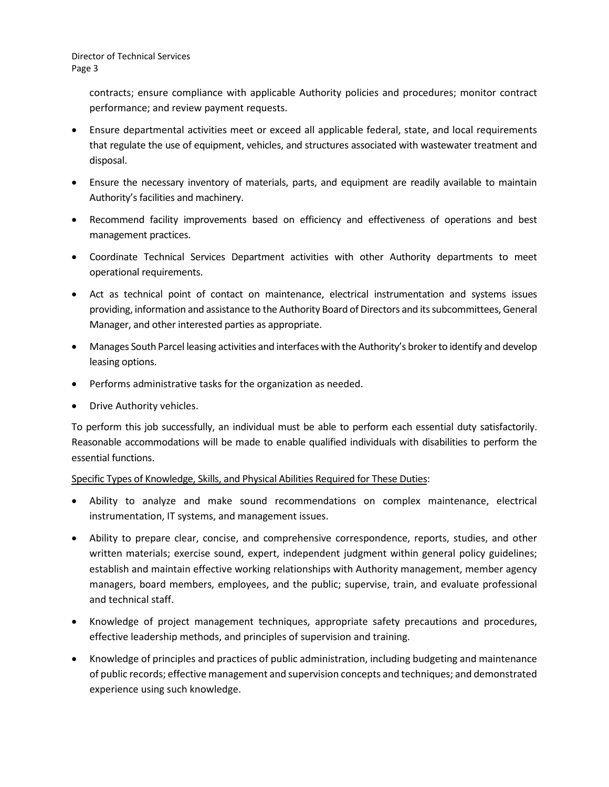> contracts; ensure compliance with applicable Authority policies and procedures; monitor contract performance; and review payment requests.

- Ensure departmental activities meet or exceed all applicable federal, state, and local requirements that regulate the use of equipment, vehicles, and structures associated with wastewater treatment and disposal.
- Ensure the necessary inventory of materials, parts, and equipment are readily available to maintain Authority's facilities and machinery.
- Recommend facility improvements based on efficiency and effectiveness of operations and best management practices.
- Coordinate Technical Services Department activities with other Authority departments to meet operational requirements.
- Act as technical point of contact on maintenance, electrical instrumentation and systems issues providing, information and assistance to the Authority Board of Directors and its subcommittees, General Manager, and other interested parties as appropriate.
- Manages South Parcel leasing activities and interfaces with the Authority's broker to identify and develop leasing options.
- Performs administrative tasks for the organization as needed.
- Drive Authority vehicles.

To perform this job successfully, an individual must be able to perform each essential duty satisfactorily. Reasonable accommodations will be made to enable qualified individuals with disabilities to perform the essential functions.

# Specific Types of Knowledge, Skills, and Physical Abilities Required for These Duties:

- Ability to analyze and make sound recommendations on complex maintenance, electrical instrumentation, IT systems, and management issues.
- Ability to prepare clear, concise, and comprehensive correspondence, reports, studies, and other written materials; exercise sound, expert, independent judgment within general policy guidelines; establish and maintain effective working relationships with Authority management, member agency managers, board members, employees, and the public; supervise, train, and evaluate professional and technical staff.
- Knowledge of project management techniques, appropriate safety precautions and procedures, effective leadership methods, and principles of supervision and training.
- Knowledge of principles and practices of public administration, including budgeting and maintenance of public records; effective management and supervision concepts and techniques; and demonstrated experience using such knowledge.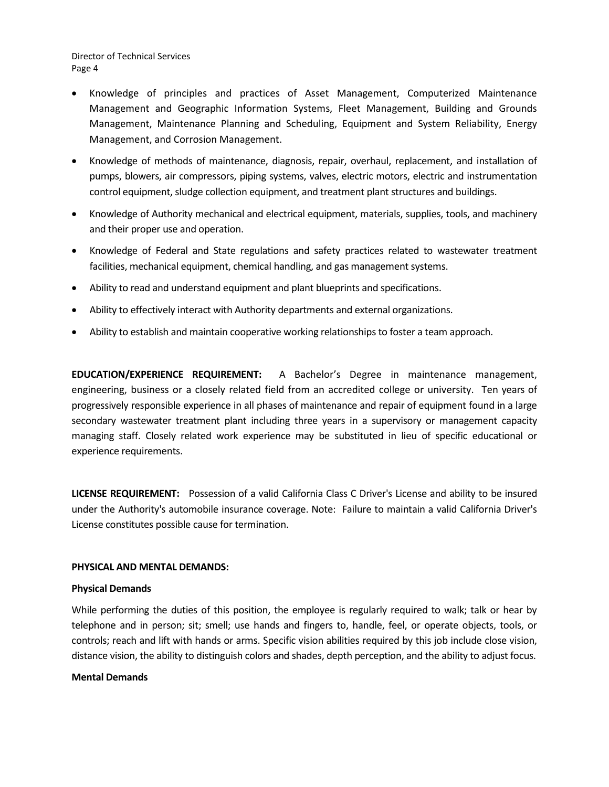- Knowledge of principles and practices of Asset Management, Computerized Maintenance Management and Geographic Information Systems, Fleet Management, Building and Grounds Management, Maintenance Planning and Scheduling, Equipment and System Reliability, Energy Management, and Corrosion Management.
- Knowledge of methods of maintenance, diagnosis, repair, overhaul, replacement, and installation of pumps, blowers, air compressors, piping systems, valves, electric motors, electric and instrumentation control equipment, sludge collection equipment, and treatment plant structures and buildings.
- Knowledge of Authority mechanical and electrical equipment, materials, supplies, tools, and machinery and their proper use and operation.
- Knowledge of Federal and State regulations and safety practices related to wastewater treatment facilities, mechanical equipment, chemical handling, and gas management systems.
- Ability to read and understand equipment and plant blueprints and specifications.
- Ability to effectively interact with Authority departments and external organizations.
- Ability to establish and maintain cooperative working relationships to foster a team approach.

**EDUCATION/EXPERIENCE REQUIREMENT:** A Bachelor's Degree in maintenance management, engineering, business or a closely related field from an accredited college or university. Ten years of progressively responsible experience in all phases of maintenance and repair of equipment found in a large secondary wastewater treatment plant including three years in a supervisory or management capacity managing staff. Closely related work experience may be substituted in lieu of specific educational or experience requirements.

**LICENSE REQUIREMENT:** Possession of a valid California Class C Driver's License and ability to be insured under the Authority's automobile insurance coverage. Note: Failure to maintain a valid California Driver's License constitutes possible cause for termination.

#### **PHYSICAL AND MENTAL DEMANDS:**

#### **Physical Demands**

While performing the duties of this position, the employee is regularly required to walk; talk or hear by telephone and in person; sit; smell; use hands and fingers to, handle, feel, or operate objects, tools, or controls; reach and lift with hands or arms. Specific vision abilities required by this job include close vision, distance vision, the ability to distinguish colors and shades, depth perception, and the ability to adjust focus.

#### **Mental Demands**